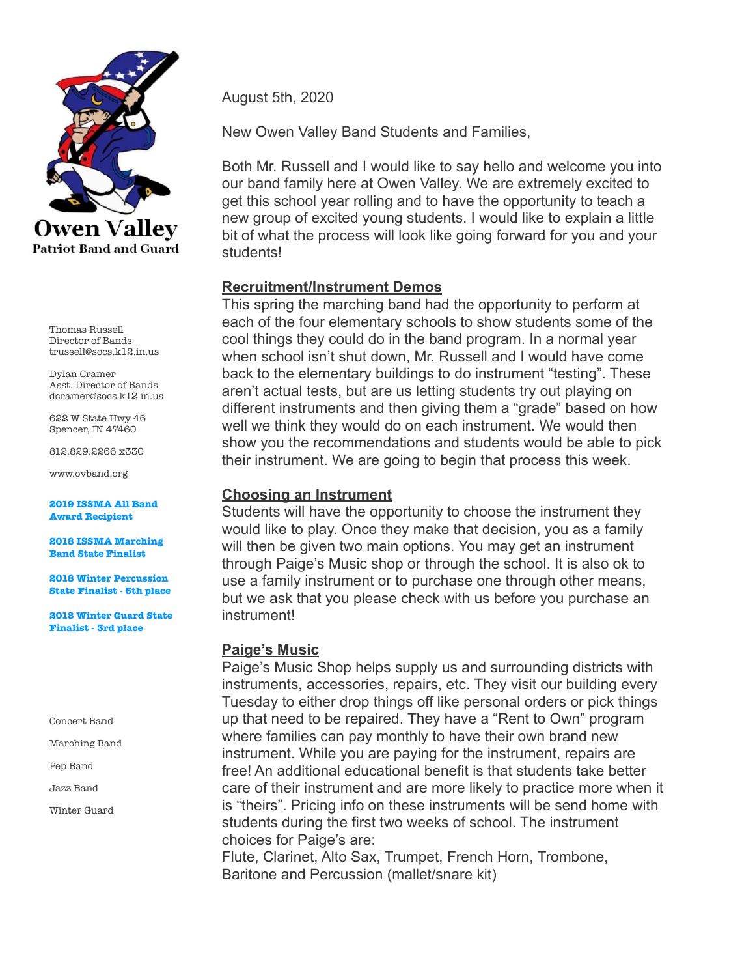

Thomas Russell Director of Bands trussell@socs.k12.in.us

Dylan Cramer Asst. Director of Bands dcramer@socs.k12.in.us

622 W State Hwy 46 Spencer, IN 47460

812.829.2266 x330

www.ovband.org

**2019 ISSMA All Band Award Recipient** 

**2018 ISSMA Marching Band State Finalist** 

**2018 Winter Percussion State Finalist - 5th place** 

**2018 Winter Guard State Finalist - 3rd place** 

Concert Band

- Marching Band
- Pep Band

Jazz Band

Winter Guard

August 5th, 2020

New Owen Valley Band Students and Families,

Both Mr. Russell and I would like to say hello and welcome you into our band family here at Owen Valley. We are extremely excited to get this school year rolling and to have the opportunity to teach a new group of excited young students. I would like to explain a little bit of what the process will look like going forward for you and your students!

## **Recruitment/Instrument Demos**

This spring the marching band had the opportunity to perform at each of the four elementary schools to show students some of the cool things they could do in the band program. In a normal year when school isn't shut down, Mr. Russell and I would have come back to the elementary buildings to do instrument "testing". These aren't actual tests, but are us letting students try out playing on different instruments and then giving them a "grade" based on how well we think they would do on each instrument. We would then show you the recommendations and students would be able to pick their instrument. We are going to begin that process this week.

### **Choosing an Instrument**

Students will have the opportunity to choose the instrument they would like to play. Once they make that decision, you as a family will then be given two main options. You may get an instrument through Paige's Music shop or through the school. It is also ok to use a family instrument or to purchase one through other means, but we ask that you please check with us before you purchase an instrument!

## **Paige's Music**

Paige's Music Shop helps supply us and surrounding districts with instruments, accessories, repairs, etc. They visit our building every Tuesday to either drop things off like personal orders or pick things up that need to be repaired. They have a "Rent to Own" program where families can pay monthly to have their own brand new instrument. While you are paying for the instrument, repairs are free! An additional educational benefit is that students take better care of their instrument and are more likely to practice more when it is "theirs". Pricing info on these instruments will be send home with students during the first two weeks of school. The instrument choices for Paige's are:

Flute, Clarinet, Alto Sax, Trumpet, French Horn, Trombone, Baritone and Percussion (mallet/snare kit)